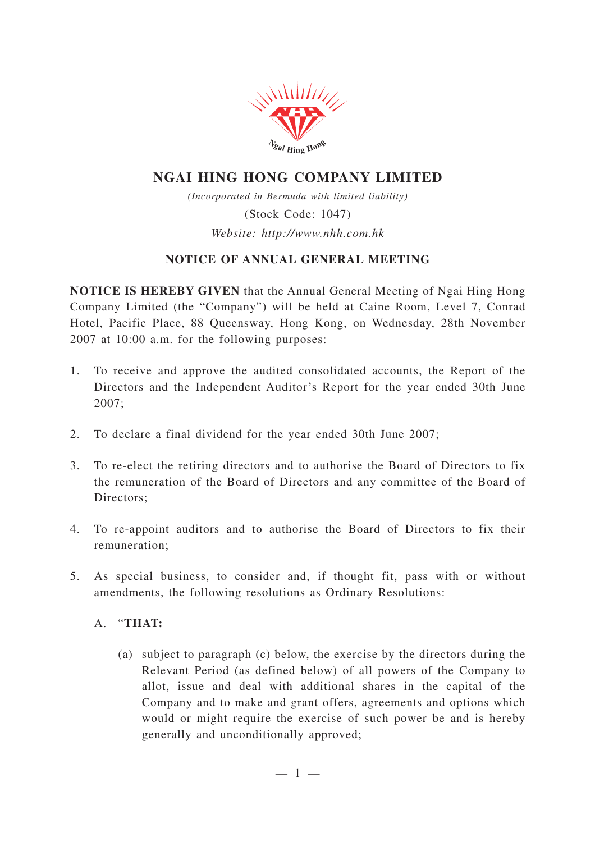

# **NGAI HING HONG COMPANY LIMITED**

*(Incorporated in Bermuda with limited liability)* (Stock Code: 1047) *Website: http://www.nhh.com.hk*

## **NOTICE OF ANNUAL GENERAL MEETING**

**NOTICE IS HEREBY GIVEN** that the Annual General Meeting of Ngai Hing Hong Company Limited (the "Company") will be held at Caine Room, Level 7, Conrad Hotel, Pacific Place, 88 Queensway, Hong Kong, on Wednesday, 28th November 2007 at 10:00 a.m. for the following purposes:

- 1. To receive and approve the audited consolidated accounts, the Report of the Directors and the Independent Auditor's Report for the year ended 30th June 2007;
- 2. To declare a final dividend for the year ended 30th June 2007;
- 3. To re-elect the retiring directors and to authorise the Board of Directors to fix the remuneration of the Board of Directors and any committee of the Board of Directors:
- 4. To re-appoint auditors and to authorise the Board of Directors to fix their remuneration;
- 5. As special business, to consider and, if thought fit, pass with or without amendments, the following resolutions as Ordinary Resolutions:

#### A. "**THAT:**

(a) subject to paragraph (c) below, the exercise by the directors during the Relevant Period (as defined below) of all powers of the Company to allot, issue and deal with additional shares in the capital of the Company and to make and grant offers, agreements and options which would or might require the exercise of such power be and is hereby generally and unconditionally approved;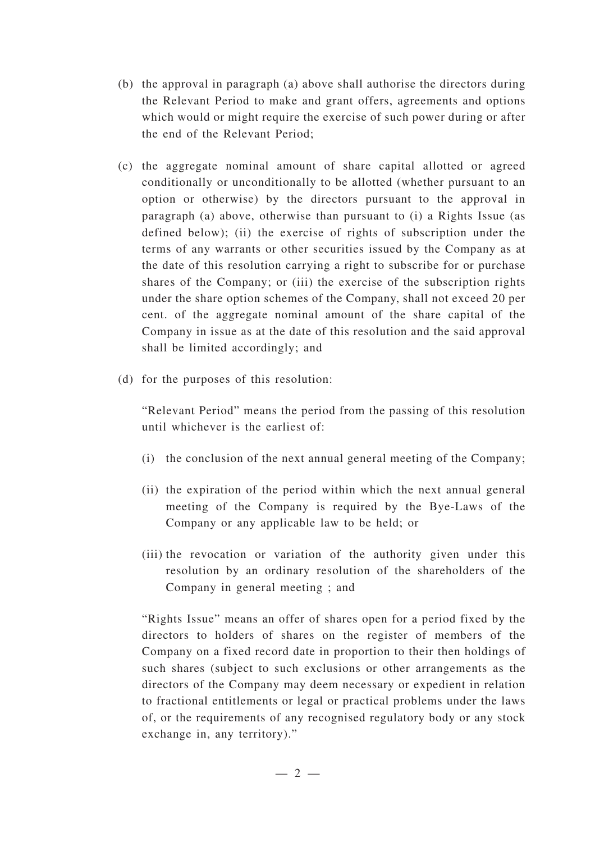- (b) the approval in paragraph (a) above shall authorise the directors during the Relevant Period to make and grant offers, agreements and options which would or might require the exercise of such power during or after the end of the Relevant Period;
- (c) the aggregate nominal amount of share capital allotted or agreed conditionally or unconditionally to be allotted (whether pursuant to an option or otherwise) by the directors pursuant to the approval in paragraph (a) above, otherwise than pursuant to (i) a Rights Issue (as defined below); (ii) the exercise of rights of subscription under the terms of any warrants or other securities issued by the Company as at the date of this resolution carrying a right to subscribe for or purchase shares of the Company; or (iii) the exercise of the subscription rights under the share option schemes of the Company, shall not exceed 20 per cent. of the aggregate nominal amount of the share capital of the Company in issue as at the date of this resolution and the said approval shall be limited accordingly; and
- (d) for the purposes of this resolution:

"Relevant Period" means the period from the passing of this resolution until whichever is the earliest of:

- (i) the conclusion of the next annual general meeting of the Company;
- (ii) the expiration of the period within which the next annual general meeting of the Company is required by the Bye-Laws of the Company or any applicable law to be held; or
- (iii) the revocation or variation of the authority given under this resolution by an ordinary resolution of the shareholders of the Company in general meeting ; and

"Rights Issue" means an offer of shares open for a period fixed by the directors to holders of shares on the register of members of the Company on a fixed record date in proportion to their then holdings of such shares (subject to such exclusions or other arrangements as the directors of the Company may deem necessary or expedient in relation to fractional entitlements or legal or practical problems under the laws of, or the requirements of any recognised regulatory body or any stock exchange in, any territory)."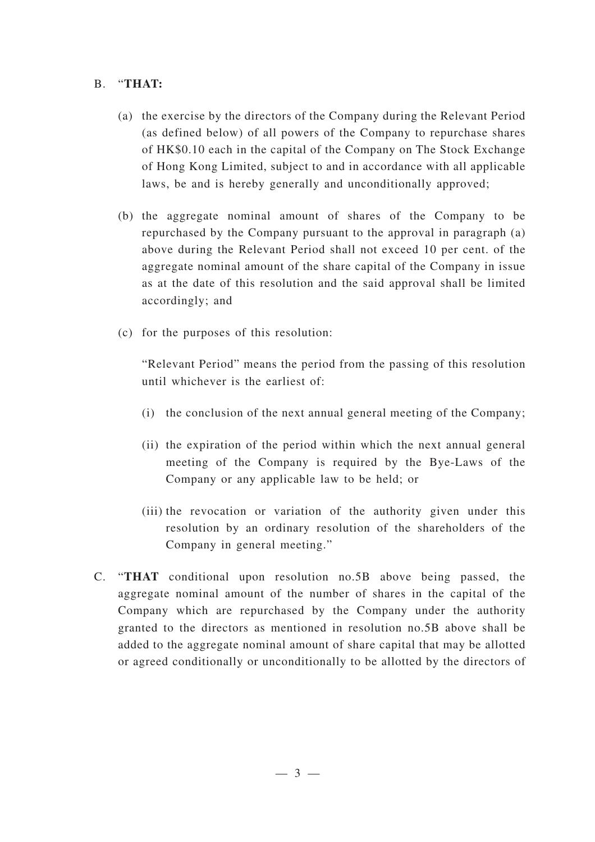### B. "**THAT:**

- (a) the exercise by the directors of the Company during the Relevant Period (as defined below) of all powers of the Company to repurchase shares of HK\$0.10 each in the capital of the Company on The Stock Exchange of Hong Kong Limited, subject to and in accordance with all applicable laws, be and is hereby generally and unconditionally approved;
- (b) the aggregate nominal amount of shares of the Company to be repurchased by the Company pursuant to the approval in paragraph (a) above during the Relevant Period shall not exceed 10 per cent. of the aggregate nominal amount of the share capital of the Company in issue as at the date of this resolution and the said approval shall be limited accordingly; and
- (c) for the purposes of this resolution:

"Relevant Period" means the period from the passing of this resolution until whichever is the earliest of:

- (i) the conclusion of the next annual general meeting of the Company;
- (ii) the expiration of the period within which the next annual general meeting of the Company is required by the Bye-Laws of the Company or any applicable law to be held; or
- (iii) the revocation or variation of the authority given under this resolution by an ordinary resolution of the shareholders of the Company in general meeting."
- C. "**THAT** conditional upon resolution no.5B above being passed, the aggregate nominal amount of the number of shares in the capital of the Company which are repurchased by the Company under the authority granted to the directors as mentioned in resolution no.5B above shall be added to the aggregate nominal amount of share capital that may be allotted or agreed conditionally or unconditionally to be allotted by the directors of